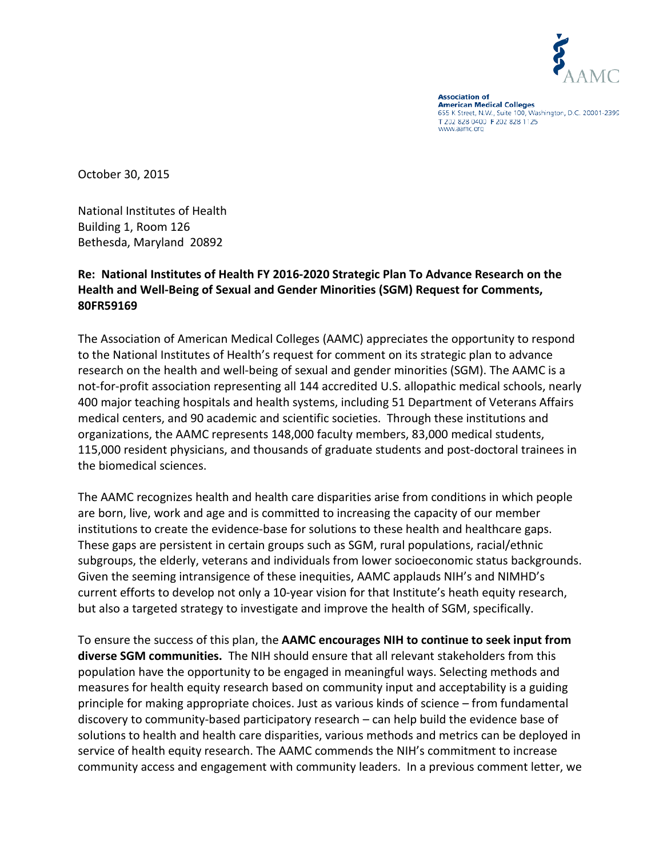

**Association of American Medical Colleges** 655 K Street, N.W., Suite 100, Washington, D.C. 20001-2399 T 202 828 0400 F 202 828 1125 www.aamc.org

October 30, 2015

National Institutes of Health Building 1, Room 126 Bethesda, Maryland 20892

## **Re: National Institutes of Health FY 2016-2020 Strategic Plan To Advance Research on the Health and Well-Being of Sexual and Gender Minorities (SGM) Request for Comments, 80FR59169**

The Association of American Medical Colleges (AAMC) appreciates the opportunity to respond to the National Institutes of Health's request for comment on its strategic plan to advance research on the health and well-being of sexual and gender minorities (SGM). The AAMC is a not-for-profit association representing all 144 accredited U.S. allopathic medical schools, nearly 400 major teaching hospitals and health systems, including 51 Department of Veterans Affairs medical centers, and 90 academic and scientific societies. Through these institutions and organizations, the AAMC represents 148,000 faculty members, 83,000 medical students, 115,000 resident physicians, and thousands of graduate students and post-doctoral trainees in the biomedical sciences.

The AAMC recognizes health and health care disparities arise from conditions in which people are born, live, work and age and is committed to increasing the capacity of our member institutions to create the evidence-base for solutions to these health and healthcare gaps. These gaps are persistent in certain groups such as SGM, rural populations, racial/ethnic subgroups, the elderly, veterans and individuals from lower socioeconomic status backgrounds. Given the seeming intransigence of these inequities, AAMC applauds NIH's and NIMHD's current efforts to develop not only a 10-year vision for that Institute's heath equity research, but also a targeted strategy to investigate and improve the health of SGM, specifically.

To ensure the success of this plan, the **AAMC encourages NIH to continue to seek input from diverse SGM communities.** The NIH should ensure that all relevant stakeholders from this population have the opportunity to be engaged in meaningful ways. Selecting methods and measures for health equity research based on community input and acceptability is a guiding principle for making appropriate choices. Just as various kinds of science – from fundamental discovery to community-based participatory research – can help build the evidence base of solutions to health and health care disparities, various methods and metrics can be deployed in service of health equity research. The AAMC commends the NIH's commitment to increase community access and engagement with community leaders. In a previous comment letter, we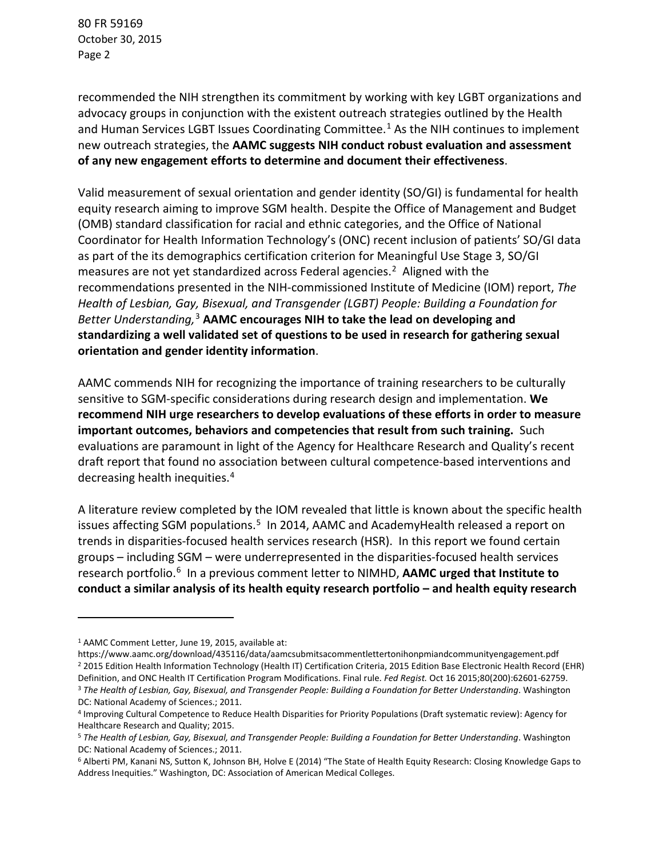80 FR 59169 October 30, 2015 Page 2

recommended the NIH strengthen its commitment by working with key LGBT organizations and advocacy groups in conjunction with the existent outreach strategies outlined by the Health and Human Services LGBT Issues Coordinating Committee.<sup>[1](#page-1-0)</sup> As the NIH continues to implement new outreach strategies, the **AAMC suggests NIH conduct robust evaluation and assessment of any new engagement efforts to determine and document their effectiveness**.

Valid measurement of sexual orientation and gender identity (SO/GI) is fundamental for health equity research aiming to improve SGM health. Despite the Office of Management and Budget (OMB) standard classification for racial and ethnic categories, and the Office of National Coordinator for Health Information Technology's (ONC) recent inclusion of patients' SO/GI data as part of the its demographics certification criterion for Meaningful Use Stage 3, SO/GI measures are not yet standardized across Federal agencies.<sup>[2](#page-1-1)</sup> Aligned with the recommendations presented in the NIH-commissioned Institute of Medicine (IOM) report, *The Health of Lesbian, Gay, Bisexual, and Transgender (LGBT) People: Building a Foundation for Better Understanding,* [3](#page-1-2) **AAMC encourages NIH to take the lead on developing and standardizing a well validated set of questions to be used in research for gathering sexual orientation and gender identity information**.

AAMC commends NIH for recognizing the importance of training researchers to be culturally sensitive to SGM-specific considerations during research design and implementation. **We recommend NIH urge researchers to develop evaluations of these efforts in order to measure important outcomes, behaviors and competencies that result from such training.** Such evaluations are paramount in light of the Agency for Healthcare Research and Quality's recent draft report that found no association between cultural competence-based interventions and decreasing health inequities.[4](#page-1-3)

A literature review completed by the IOM revealed that little is known about the specific health issues affecting SGM populations.<sup>5</sup> In 2014, AAMC and AcademyHealth released a report on trends in disparities-focused health services research (HSR). In this report we found certain groups – including SGM – were underrepresented in the disparities-focused health services research portfolio.[6](#page-1-5) In a previous comment letter to NIMHD, **AAMC urged that Institute to conduct a similar analysis of its health equity research portfolio – and health equity research** 

l

<span id="page-1-0"></span><sup>1</sup> AAMC Comment Letter, June 19, 2015, available at:

<span id="page-1-1"></span>https://www.aamc.org/download/435116/data/aamcsubmitsacommentlettertonihonpmiandcommunityengagement.pdf <sup>2</sup> 2015 Edition Health Information Technology (Health IT) Certification Criteria, 2015 Edition Base Electronic Health Record (EHR) Definition, and ONC Health IT Certification Program Modifications. Final rule. *Fed Regist.* Oct 16 2015;80(200):62601-62759. <sup>3</sup> *The Health of Lesbian, Gay, Bisexual, and Transgender People: Building a Foundation for Better Understanding*. Washington DC: National Academy of Sciences.; 2011.

<span id="page-1-3"></span><span id="page-1-2"></span><sup>4</sup> Improving Cultural Competence to Reduce Health Disparities for Priority Populations (Draft systematic review): Agency for Healthcare Research and Quality; 2015.

<span id="page-1-4"></span><sup>5</sup> *The Health of Lesbian, Gay, Bisexual, and Transgender People: Building a Foundation for Better Understanding*. Washington DC: National Academy of Sciences.; 2011.

<span id="page-1-5"></span><sup>6</sup> Alberti PM, Kanani NS, Sutton K, Johnson BH, Holve E (2014) "The State of Health Equity Research: Closing Knowledge Gaps to Address Inequities." Washington, DC: Association of American Medical Colleges.